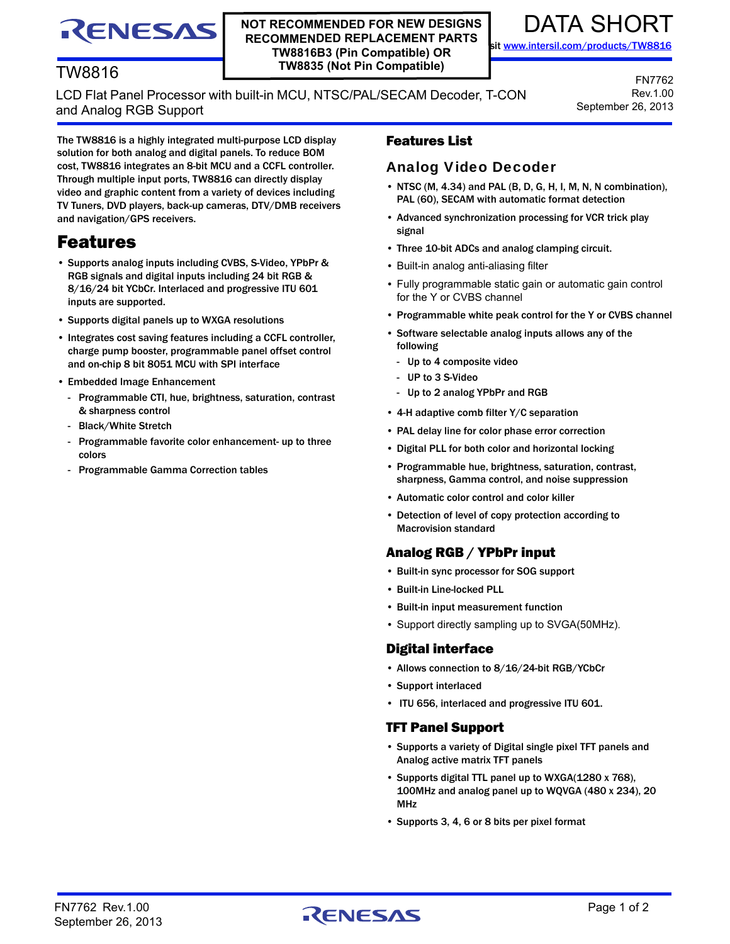# DATA SHORT

FN7762 Rev.1.00

September 26, 2013

sit [www.intersil.com/products/TW8816](http://www.intersil.com/products/TW8816)

## TW8816

RENESAS

## LCD Flat Panel Processor with built-in MCU, NTSC/PAL/SECAM Decoder, T-CON and Analog RGB Support

**NOT RECOMMENDED FOR NEW DESIGNS RECOMMENDED REPLACEMENT PARTS TW8816B3 (Pin Compatible) OR TW8835 (Not Pin Compatible)**

The TW8816 is a highly integrated multi-purpose LCD display solution for both analog and digital panels. To reduce BOM cost, TW8816 integrates an 8-bit MCU and a CCFL controller. Through multiple input ports, TW8816 can directly display video and graphic content from a variety of devices including TV Tuners, DVD players, back-up cameras, DTV/DMB receivers and navigation/GPS receivers.

## Features

- Supports analog inputs including CVBS, S-Video, YPbPr & RGB signals and digital inputs including 24 bit RGB & 8/16/24 bit YCbCr. Interlaced and progressive ITU 601 inputs are supported.
- Supports digital panels up to WXGA resolutions
- Integrates cost saving features including a CCFL controller, charge pump booster, programmable panel offset control and on-chip 8 bit 8051 MCU with SPI interface
- Embedded Image Enhancement
	- Programmable CTI, hue, brightness, saturation, contrast & sharpness control
	- Black/White Stretch
	- Programmable favorite color enhancement- up to three colors
	- Programmable Gamma Correction tables

## Features List

## Analog Video Decoder

- NTSC (M, 4.34) and PAL (B, D, G, H, I, M, N, N combination), PAL (60), SECAM with automatic format detection
- Advanced synchronization processing for VCR trick play signal
- Three 10-bit ADCs and analog clamping circuit.
- Built-in analog anti-aliasing filter
- Fully programmable static gain or automatic gain control for the Y or CVBS channel
- Programmable white peak control for the Y or CVBS channel
- Software selectable analog inputs allows any of the following
	- Up to 4 composite video
	- UP to 3 S-Video
- Up to 2 analog YPbPr and RGB
- 4-H adaptive comb filter Y/C separation
- PAL delay line for color phase error correction
- Digital PLL for both color and horizontal locking
- Programmable hue, brightness, saturation, contrast, sharpness, Gamma control, and noise suppression
- Automatic color control and color killer
- Detection of level of copy protection according to Macrovision standard

## Analog RGB / YPbPr input

- Built-in sync processor for SOG support
- Built-in Line-locked PLL
- Built-in input measurement function
- Support directly sampling up to SVGA(50MHz).

#### Digital interface

- Allows connection to 8/16/24-bit RGB/YCbCr
- Support interlaced
- ITU 656, interlaced and progressive ITU 601.

#### TFT Panel Support

- Supports a variety of Digital single pixel TFT panels and Analog active matrix TFT panels
- Supports digital TTL panel up to WXGA(1280 x 768), 100MHz and analog panel up to WQVGA (480 x 234), 20 MHz
- Supports 3, 4, 6 or 8 bits per pixel format